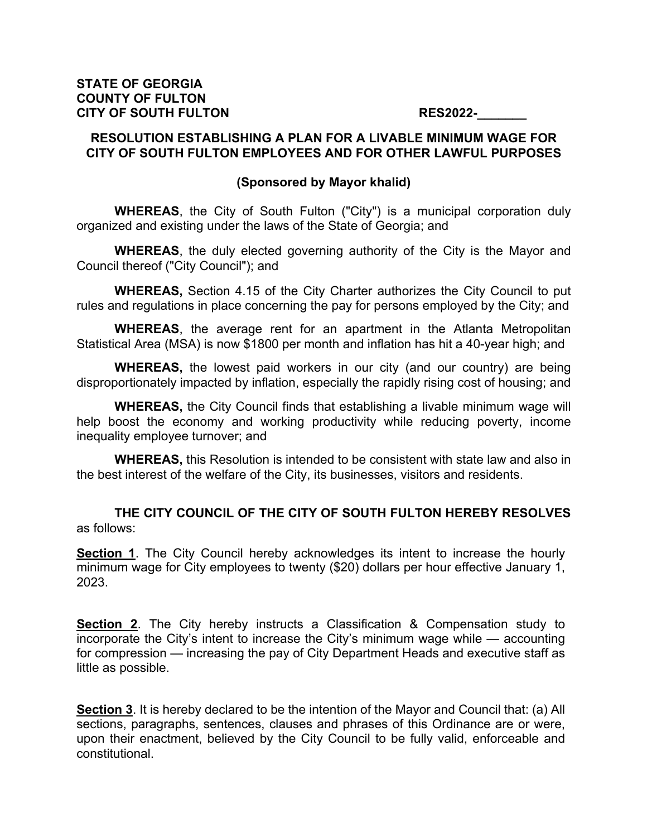## **RESOLUTION ESTABLISHING A PLAN FOR A LIVABLE MINIMUM WAGE FOR CITY OF SOUTH FULTON EMPLOYEES AND FOR OTHER LAWFUL PURPOSES**

## **(Sponsored by Mayor khalid)**

**WHEREAS**, the City of South Fulton ("City") is a municipal corporation duly organized and existing under the laws of the State of Georgia; and

**WHEREAS**, the duly elected governing authority of the City is the Mayor and Council thereof ("City Council"); and

**WHEREAS,** Section 4.15 of the City Charter authorizes the City Council to put rules and regulations in place concerning the pay for persons employed by the City; and

**WHEREAS**, the average rent for an apartment in the Atlanta Metropolitan Statistical Area (MSA) is now \$1800 per month and inflation has hit a 40-year high; and

**WHEREAS,** the lowest paid workers in our city (and our country) are being disproportionately impacted by inflation, especially the rapidly rising cost of housing; and

**WHEREAS,** the City Council finds that establishing a livable minimum wage will help boost the economy and working productivity while reducing poverty, income inequality employee turnover; and

**WHEREAS,** this Resolution is intended to be consistent with state law and also in the best interest of the welfare of the City, its businesses, visitors and residents.

**THE CITY COUNCIL OF THE CITY OF SOUTH FULTON HEREBY RESOLVES** as follows:

**Section 1**. The City Council hereby acknowledges its intent to increase the hourly minimum wage for City employees to twenty (\$20) dollars per hour effective January 1, 2023.

**Section 2**. The City hereby instructs a Classification & Compensation study to incorporate the City's intent to increase the City's minimum wage while — accounting for compression — increasing the pay of City Department Heads and executive staff as little as possible.

**Section 3**. It is hereby declared to be the intention of the Mayor and Council that: (a) All sections, paragraphs, sentences, clauses and phrases of this Ordinance are or were, upon their enactment, believed by the City Council to be fully valid, enforceable and constitutional.